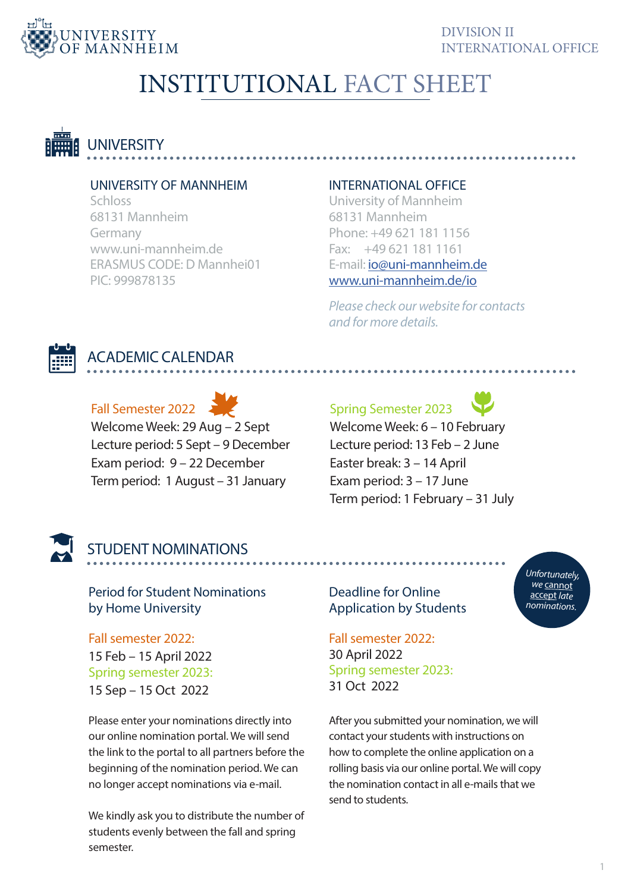

# INSTITUTIONAL FACT SHEET



### UNIVERSITY OF MANNHEIM

**Schloss** 68131 Mannheim Germany www.uni-mannheim.de ERASMUS CODE: D Mannhei01 PIC: 999878135

### INTERNATIONAL OFFICE

University of Mannheim 68131 Mannheim Phone: +49 621 181 1156 Fax: +49 621 181 1161 E-mail: io@uni-mannheim.de www.uni-mannheim.de/io

*Please check our website for contacts and for more details.*



### ACADEMIC CALENDAR

Fall Semester 2022 Welcome Week: 29 Aug – 2 Sept Lecture period: 5 Sept – 9 December Exam period: 9 – 22 December Term period: 1 August – 31 January

Spring Semester 2023



Welcome Week: 6 – 10 February Lecture period: 13 Feb – 2 June Easter break: 3 – 14 April Exam period: 3 – 17 June Term period: 1 February – 31 July



### STUDENT NOMINATIONS

Period for Student Nominations by Home University

Fall semester 2022: 15 Feb – 15 April 2022 Spring semester 2023: 15 Sep – 15 Oct 2022

Please enter your nominations directly into our online nomination portal. We will send the link to the portal to all partners before the beginning of the nomination period. We can no longer accept nominations via e-mail.

We kindly ask you to distribute the number of students evenly between the fall and spring semester.

Deadline for Online Application by Students

Fall semester 2022: 30 April 2022 Spring semester 2023: 31 Oct 2022

After you submitted your nomination, we will contact your students with instructions on how to complete the online application on a rolling basis via our online portal. We will copy the nomination contact in all e-mails that we send to students.

*Unfortunately, we* cannot accept *late nominations.*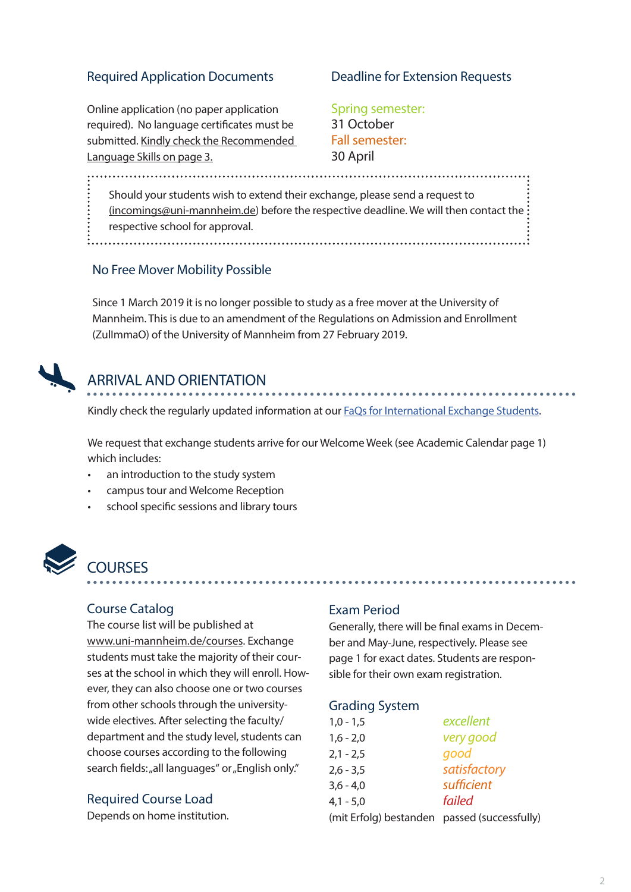### Required Application Documents

#### Deadline for Extension Requests

Online application (no paper application required). No language certificates must be submitted. Kindly check the Recommended Language Skills on page 3.

Spring semester: 31 October Fall semester: 30 April

Should your students wish to extend their exchange, please send a request to (incomings@uni-mannheim.de) before the respective deadline. We will then contact the: respective school for approval. 

### No Free Mover Mobility Possible

Since 1 March 2019 it is no longer possible to study as a free mover at the University of Mannheim. This is due to an amendment of the Regulations on Admission and Enrollment (ZulImmaO) of the University of Mannheim from 27 February 2019.



### ARRIVAL AND ORIENTATION

Kindly check the regularly updated information at our **FaQs** for International Exchange Students.

We request that exchange students arrive for our Welcome Week (see Academic Calendar page 1) which includes:

- an introduction to the study system
- campus tour and Welcome Reception
- school specific sessions and library tours



### **COURSES**

#### Course Catalog

The course list will be published at www.uni-mannheim.de/courses. Exchange students must take the majority of their courses at the school in which they will enroll. However, they can also choose one or two courses from other schools through the universitywide electives. After selecting the faculty/ department and the study level, students can choose courses according to the following search fields: "all languages" or "English only."

#### Required Course Load

Depends on home institution.

#### Exam Period

Generally, there will be final exams in December and May-June, respectively. Please see page 1 for exact dates. Students are responsible for their own exam registration.

#### Grading System

| $1,0 - 1,5$                                  | excellent    |
|----------------------------------------------|--------------|
| $1,6 - 2,0$                                  | very good    |
| $2,1 - 2,5$                                  | good         |
| $2,6 - 3,5$                                  | satisfactory |
| $3,6 - 4,0$                                  | sufficient   |
| $4,1 - 5,0$                                  | failed       |
| (mit Erfolg) bestanden passed (successfully) |              |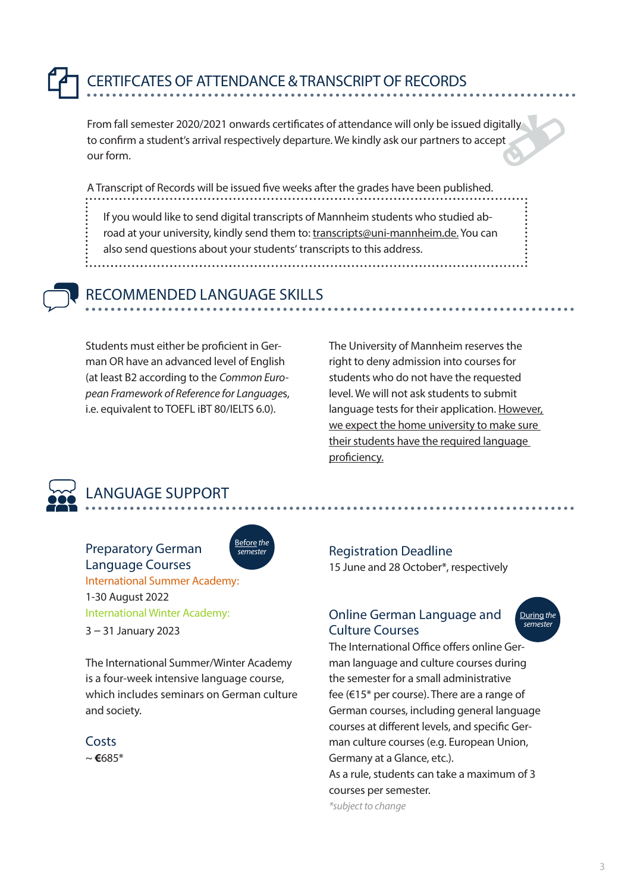# CERTIFCATES OF ATTENDANCE & TRANSCRIPT OF RECORDS

From fall semester 2020/2021 onwards certificates of attendance will only be issued digitally to confirm a student's arrival respectively departure. We kindly ask our partners to accept our form.

A Transcript of Records will be issued five weeks after the grades have been published.

If you would like to send digital transcripts of Mannheim students who studied abroad at your university, kindly send them to: transcripts@uni-mannheim.de. You can also send questions about your students' transcripts to this address.

### RECOMMENDED LANGUAGE SKILLS

Students must either be proficient in German OR have an advanced level of English (at least B2 according to the *Common European Framework of Reference for Language*s, i.e. equivalent to TOEFL iBT 80/IELTS 6.0).

The University of Mannheim reserves the right to deny admission into courses for students who do not have the requested level. We will not ask students to submit language tests for their application. However, we expect the home university to make sure their students have the required language proficiency.



### LANGUAGE SUPPORT

Preparatory German Language Courses International Summer Academy: 1-30 August 2022 International Winter Academy:

3 – 31 January 2023

The International Summer/Winter Academy is a four-week intensive language course, which includes seminars on German culture and society.

Before *the semester*



~ **€**685\*

### Registration Deadline

15 June and 28 October\*, respectively

### Online German Language and Culture Courses



The International Office offers online German language and culture courses during the semester for a small administrative fee (€15\* per course). There are a range of German courses, including general language courses at different levels, and specific German culture courses (e.g. European Union, Germany at a Glance, etc.). As a rule, students can take a maximum of 3 courses per semester.

*\*subject to change*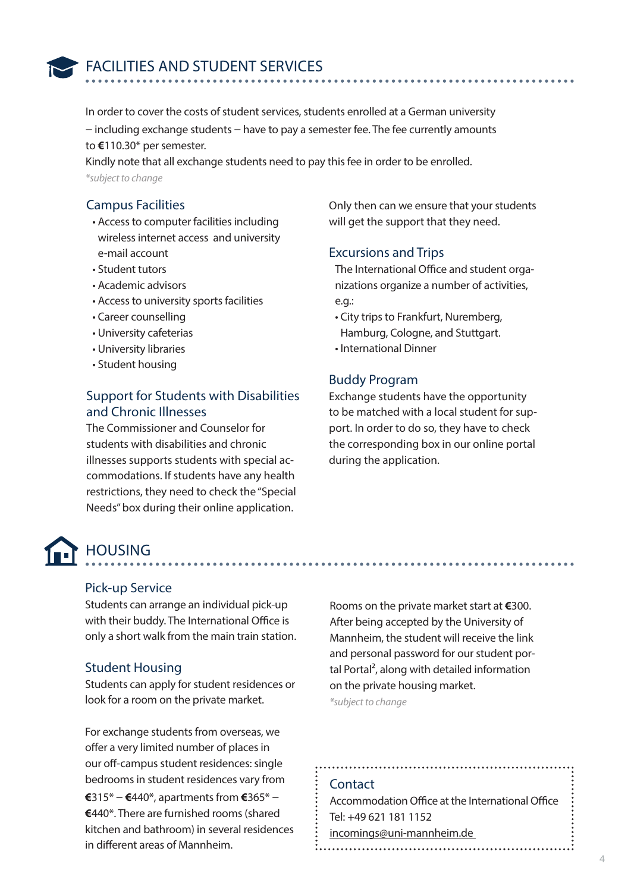

FACILITIES AND STUDENT SERVICES

In order to cover the costs of student services, students enrolled at a German university – including exchange students – have to pay a semester fee. The fee currently amounts to **€**110.30\* per semester.

Kindly note that all exchange students need to pay this fee in order to be enrolled. *\*subject to change*

### Campus Facilities

- Access to computer facilities including wireless internet access and university e-mail account
- Student tutors
- Academic advisors
- Access to university sports facilities
- Career counselling
- University cafeterias
- University libraries
- Student housing

### Support for Students with Disabilities and Chronic Illnesses

The Commissioner and Counselor for students with disabilities and chronic illnesses supports students with special accommodations. If students have any health restrictions, they need to check the "Special Needs" box during their online application.

## **HOUSING**

### Pick-up Service

Students can arrange an individual pick-up with their buddy. The International Office is only a short walk from the main train station.

### Student Housing

Students can apply for student residences or look for a room on the private market.

For exchange students from overseas, we offer a very limited number of places in our off-campus student residences: single bedrooms in student residences vary from **€**315\* – **€**440\*, apartments from **€**365\* – **€**440\*. There are furnished rooms (shared kitchen and bathroom) in several residences in different areas of Mannheim.

Only then can we ensure that your students will get the support that they need.

### Excursions and Trips

The International Office and student organizations organize a number of activities, e.g.:

- City trips to Frankfurt, Nuremberg, Hamburg, Cologne, and Stuttgart.
- International Dinner

### Buddy Program

Exchange students have the opportunity to be matched with a local student for support. In order to do so, they have to check the corresponding box in our online portal during the application.

Rooms on the private market start at **€**300. After being accepted by the University of Mannheim, the student will receive the link and personal password for our student portal Portal², along with detailed information on the private housing market. *\*subject to change*

#### **Contact**

Accommodation Office at the International Office Tel: +49 621 181 1152 incomings@uni-mannheim.de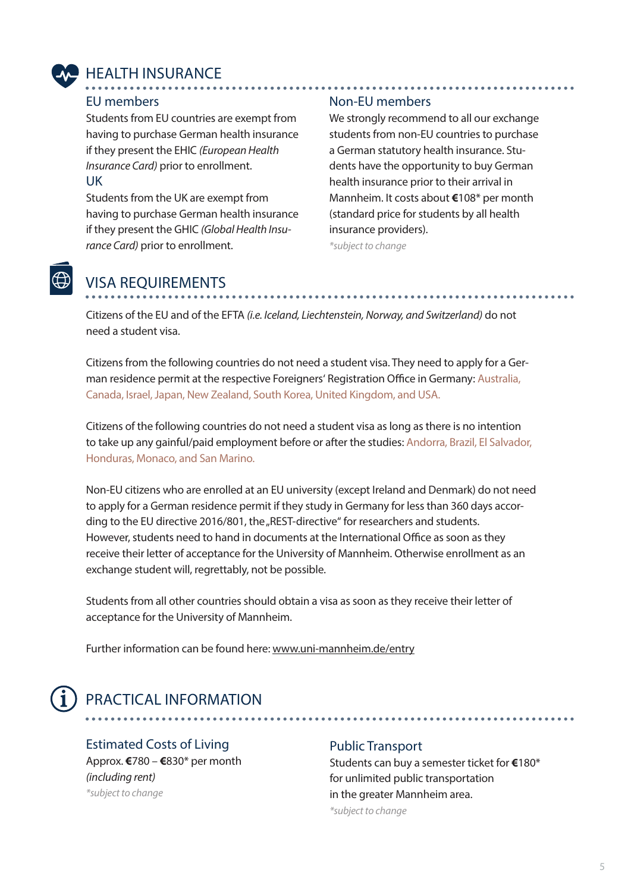

### HEALTH INSURANCE

#### EU members

Students from EU countries are exempt from having to purchase German health insurance if they present the EHIC *(European Health Insurance Card)* prior to enrollment. UK

Students from the UK are exempt from having to purchase German health insurance if they present the GHIC *(Global Health Insurance Card)* prior to enrollment.

### Non-EU members

We strongly recommend to all our exchange students from non-EU countries to purchase a German statutory health insurance. Students have the opportunity to buy German health insurance prior to their arrival in Mannheim. It costs about **€**108\* per month (standard price for students by all health insurance providers).

*\*subject to change* 

### VISA REQUIREMENTS

Citizens of the EU and of the EFTA *(i.e. Iceland, Liechtenstein, Norway, and Switzerland)* do not need a student visa.

Citizens from the following countries do not need a student visa. They need to apply for a German residence permit at the respective Foreigners' Registration Office in Germany: Australia, Canada, Israel, Japan, New Zealand, South Korea, United Kingdom, and USA.

Citizens of the following countries do not need a student visa as long as there is no intention to take up any gainful/paid employment before or after the studies: Andorra, Brazil, El Salvador, Honduras, Monaco, and San Marino.

Non-EU citizens who are enrolled at an EU university (except Ireland and Denmark) do not need to apply for a German residence permit if they study in Germany for less than 360 days according to the EU directive 2016/801, the "REST-directive" for researchers and students. However, students need to hand in documents at the International Office as soon as they receive their letter of acceptance for the University of Mannheim. Otherwise enrollment as an exchange student will, regrettably, not be possible.

Students from all other countries should obtain a visa as soon as they receive their letter of acceptance for the University of Mannheim.

Further information can be found here: www.uni-mannheim.de/entry

### PRACTICAL INFORMATION

### Estimated Costs of Living

Approx. **€**780 – **€**830\* per month *(including rent) \*subject to change*

### Public Transport

. . . . . . . . . . . . . . .

Students can buy a semester ticket for **€**180\* for unlimited public transportation in the greater Mannheim area. *\*subject to change*